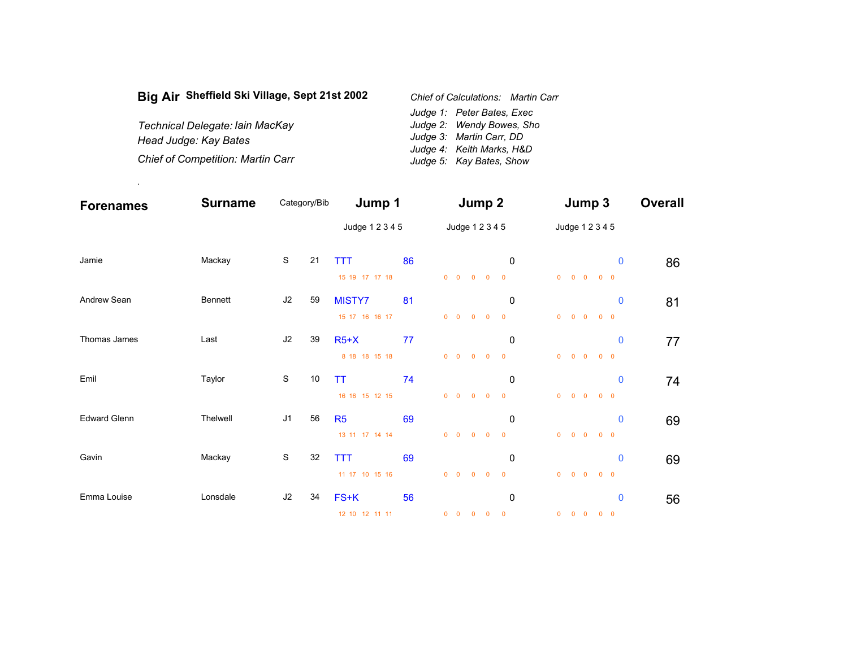| Big Air Sheffield Ski Village, Sept 21st 2002 | <b>Chief of Calculations: Martin Carr</b> |
|-----------------------------------------------|-------------------------------------------|
|                                               | Judge 1: Peter Bates, Exec                |
| Technical Delegate: Iain MacKay               | Judge 2: Wendy Bowes, Sho                 |
| Head Judge: Kay Bates                         | Judge 3: Martin Carr, DD                  |
|                                               | Judge 4: Keith Marks, H&D                 |
| <b>Chief of Competition: Martin Carr</b>      | Judge 5: Kay Bates, Show                  |

.

| <b>Forenames</b>    | <b>Surname</b> | Category/Bib   |    | Jump 1                           |    | Jump 2                                      |            |                                                                      |                               | Jump 3         |                   |                                     |            |             | <b>Overall</b> |
|---------------------|----------------|----------------|----|----------------------------------|----|---------------------------------------------|------------|----------------------------------------------------------------------|-------------------------------|----------------|-------------------|-------------------------------------|------------|-------------|----------------|
|                     |                |                |    | Judge 1 2 3 4 5                  |    |                                             |            | Judge 1 2 3 4 5                                                      |                               |                |                   | Judge 1 2 3 4 5                     |            |             |                |
| Jamie               | Mackay         | ${\mathbb S}$  | 21 | <b>TTT</b><br>15 19 17 17 18     | 86 | $0\quad 0\quad 0\quad 0$                    |            |                                                                      | 0<br>$\overline{\mathbf{0}}$  |                |                   | $0\qquad 0\qquad 0\qquad 0\qquad 0$ |            | $\bf{0}$    | 86             |
| Andrew Sean         | Bennett        | J2             | 59 | MISTY7<br>15 17 16 16 17         | 81 | $0\quad 0$                                  | $0 \t 0$   |                                                                      | 0<br>$\overline{\phantom{0}}$ | $\overline{0}$ | $0\quad 0$        |                                     | $0\quad 0$ | $\mathbf 0$ | 81             |
| Thomas James        | Last           | J2             | 39 | $R5+X$<br>8 18 18 15 18          | 77 | $\begin{matrix} 0 & 0 & 0 & 0 \end{matrix}$ |            |                                                                      | 0<br>$\overline{\phantom{0}}$ |                |                   | $0\qquad 0\qquad 0\qquad 0\qquad 0$ |            | $\mathbf 0$ | 77             |
| Emil                | Taylor         | $\mathbf S$    | 10 | TT<br>16 16 15 12 15             | 74 | $0\quad 0$                                  | $0\quad 0$ |                                                                      | 0<br>$\overline{\phantom{0}}$ | $\overline{0}$ | $0\quad 0$        |                                     | $0\quad 0$ | $\mathbf 0$ | 74             |
| <b>Edward Glenn</b> | Thelwell       | J <sub>1</sub> | 56 | R <sub>5</sub><br>13 11 17 14 14 | 69 | $0\quad 0\quad 0\quad 0$                    |            |                                                                      | 0<br>$\overline{\phantom{0}}$ |                |                   | $0\qquad 0\qquad 0\qquad 0\qquad 0$ |            | $\mathbf 0$ | 69             |
| Gavin               | Mackay         | ${\mathbb S}$  | 32 | <b>TTT</b><br>11 17 10 15 16     | 69 | $0\quad 0\quad 0\quad 0$                    |            |                                                                      | 0<br>$\overline{\mathbf{0}}$  |                | $0\quad 0\quad 0$ |                                     | $0\quad 0$ | $\mathbf 0$ | 69             |
| Emma Louise         | Lonsdale       | J2             | 34 | FS+K<br>12 10 12 11 11           | 56 |                                             |            | $\begin{array}{ccccccccccccccccc} 0 & 0 & 0 & 0 & 0 & 0 \end{array}$ | $\mathbf 0$                   |                |                   | $0\qquad 0\qquad 0\qquad 0\qquad 0$ |            | $\mathbf 0$ | 56             |